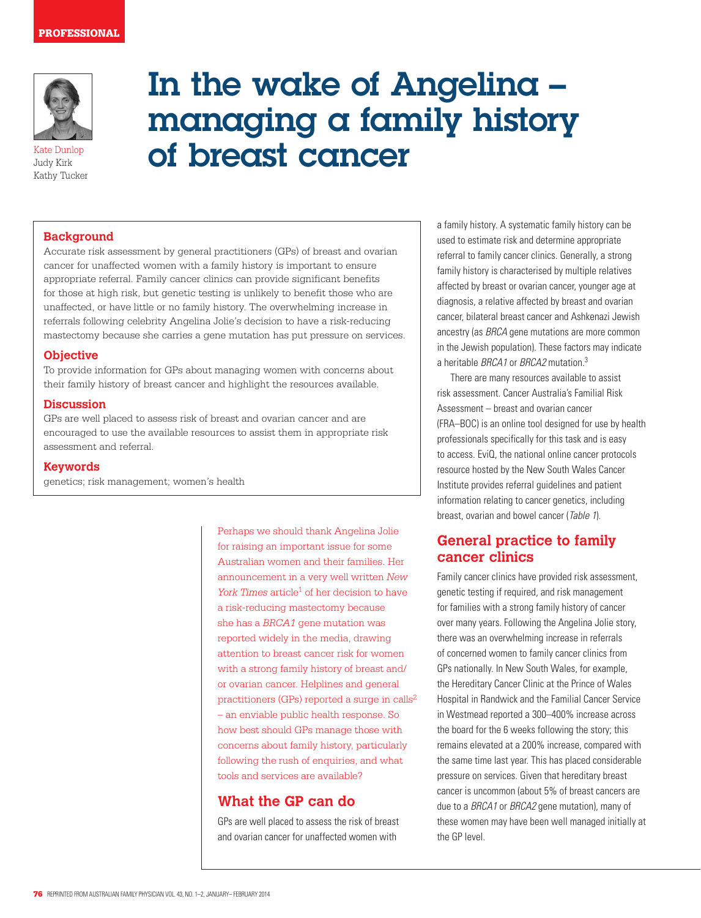#### PROFESSIONAL



Kate Dunlop Judy Kirk Kathy Tucker

# In the wake of Angelina – managing a family history of breast cancer

## **Background**

Accurate risk assessment by general practitioners (GPs) of breast and ovarian cancer for unaffected women with a family history is important to ensure appropriate referral. Family cancer clinics can provide significant benefits for those at high risk, but genetic testing is unlikely to benefit those who are unaffected, or have little or no family history. The overwhelming increase in referrals following celebrity Angelina Jolie's decision to have a risk-reducing mastectomy because she carries a gene mutation has put pressure on services.

## **Objective**

To provide information for GPs about managing women with concerns about their family history of breast cancer and highlight the resources available.

## **Discussion**

GPs are well placed to assess risk of breast and ovarian cancer and are encouraged to use the available resources to assist them in appropriate risk assessment and referral.

#### **Keywords**

genetics; risk management; women's health

Perhaps we should thank Angelina Jolie for raising an important issue for some Australian women and their families. Her announcement in a very well written *New York Times* article<sup>1</sup> of her decision to have a risk-reducing mastectomy because she has a *BRCA1* gene mutation was reported widely in the media, drawing attention to breast cancer risk for women with a strong family history of breast and/ or ovarian cancer. Helplines and general practitioners (GPs) reported a surge in calls2 – an enviable public health response. So how best should GPs manage those with concerns about family history, particularly following the rush of enquiries, and what tools and services are available?

## **What the GP can do**

GPs are well placed to assess the risk of breast and ovarian cancer for unaffected women with

a family history. A systematic family history can be used to estimate risk and determine appropriate referral to family cancer clinics. Generally, a strong family history is characterised by multiple relatives affected by breast or ovarian cancer, younger age at diagnosis, a relative affected by breast and ovarian cancer, bilateral breast cancer and Ashkenazi Jewish ancestry (as BRCA gene mutations are more common in the Jewish population). These factors may indicate a heritable BRCA1 or BRCA2 mutation.<sup>3</sup>

There are many resources available to assist risk assessment. Cancer Australia's Familial Risk Assessment – breast and ovarian cancer (FRA–BOC) is an online tool designed for use by health professionals specifically for this task and is easy to access. EviQ, the national online cancer protocols resource hosted by the New South Wales Cancer Institute provides referral guidelines and patient information relating to cancer genetics, including breast, ovarian and bowel cancer (Table 1).

# **General practice to family cancer clinics**

Family cancer clinics have provided risk assessment, genetic testing if required, and risk management for families with a strong family history of cancer over many years. Following the Angelina Jolie story, there was an overwhelming increase in referrals of concerned women to family cancer clinics from GPs nationally. In New South Wales, for example, the Hereditary Cancer Clinic at the Prince of Wales Hospital in Randwick and the Familial Cancer Service in Westmead reported a 300–400% increase across the board for the 6 weeks following the story; this remains elevated at a 200% increase, compared with the same time last year. This has placed considerable pressure on services. Given that hereditary breast cancer is uncommon (about 5% of breast cancers are due to a BRCA1 or BRCA2 gene mutation), many of these women may have been well managed initially at the GP level.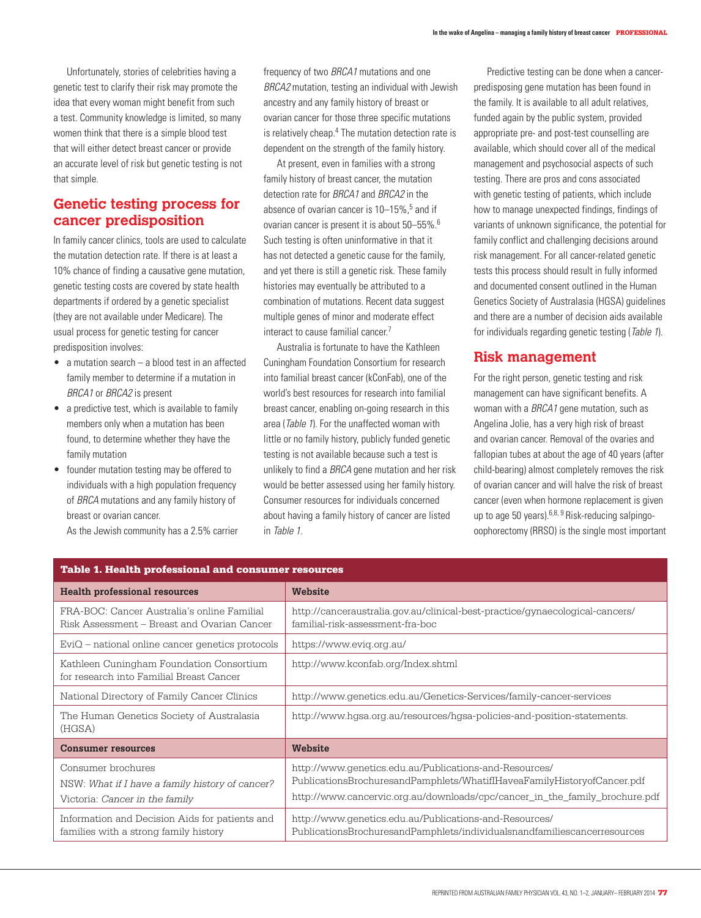Unfortunately, stories of celebrities having a genetic test to clarify their risk may promote the idea that every woman might benefit from such a test. Community knowledge is limited, so many women think that there is a simple blood test that will either detect breast cancer or provide an accurate level of risk but genetic testing is not that simple.

# **Genetic testing process for cancer predisposition**

In family cancer clinics, tools are used to calculate the mutation detection rate. If there is at least a 10% chance of finding a causative gene mutation, genetic testing costs are covered by state health departments if ordered by a genetic specialist (they are not available under Medicare). The usual process for genetic testing for cancer predisposition involves:

- a mutation search a blood test in an affected family member to determine if a mutation in BRCA1 or BRCA2 is present
- a predictive test, which is available to family members only when a mutation has been found, to determine whether they have the family mutation
- founder mutation testing may be offered to individuals with a high population frequency of BRCA mutations and any family history of breast or ovarian cancer.

As the Jewish community has a 2.5% carrier

frequency of two BBCA1 mutations and one BRCA2 mutation, testing an individual with Jewish ancestry and any family history of breast or ovarian cancer for those three specific mutations is relatively cheap.<sup>4</sup> The mutation detection rate is dependent on the strength of the family history.

At present, even in families with a strong family history of breast cancer, the mutation detection rate for BRCA1 and BRCA2 in the absence of ovarian cancer is 10–15%,<sup>5</sup> and if ovarian cancer is present it is about 50–55%.6 Such testing is often uninformative in that it has not detected a genetic cause for the family, and yet there is still a genetic risk. These family histories may eventually be attributed to a combination of mutations. Recent data suggest multiple genes of minor and moderate effect interact to cause familial cancer.7

Australia is fortunate to have the Kathleen Cuningham Foundation Consortium for research into familial breast cancer (kConFab), one of the world's best resources for research into familial breast cancer, enabling on-going research in this area (*Table 1*). For the unaffected woman with little or no family history, publicly funded genetic testing is not available because such a test is unlikely to find a **BRCA** gene mutation and her risk would be better assessed using her family history. Consumer resources for individuals concerned about having a family history of cancer are listed in Table 1.

Predictive testing can be done when a cancerpredisposing gene mutation has been found in the family. It is available to all adult relatives, funded again by the public system, provided appropriate pre- and post-test counselling are available, which should cover all of the medical management and psychosocial aspects of such testing. There are pros and cons associated with genetic testing of patients, which include how to manage unexpected findings, findings of variants of unknown significance, the potential for family conflict and challenging decisions around risk management. For all cancer-related genetic tests this process should result in fully informed and documented consent outlined in the Human Genetics Society of Australasia (HGSA) guidelines and there are a number of decision aids available for individuals regarding genetic testing (Table 1).

# **Risk management**

For the right person, genetic testing and risk management can have significant benefits. A woman with a BRCA1 gene mutation, such as Angelina Jolie, has a very high risk of breast and ovarian cancer. Removal of the ovaries and fallopian tubes at about the age of 40 years (after child-bearing) almost completely removes the risk of ovarian cancer and will halve the risk of breast cancer (even when hormone replacement is given up to age 50 years).<sup>6,8, 9</sup> Risk-reducing salpingooophorectomy (RRSO) is the single most important

| <b>Table 1. Health professional and consumer resources</b>                                              |                                                                                                                                                                                                                  |
|---------------------------------------------------------------------------------------------------------|------------------------------------------------------------------------------------------------------------------------------------------------------------------------------------------------------------------|
| <b>Health professional resources</b>                                                                    | Website                                                                                                                                                                                                          |
| FRA-BOC: Cancer Australia's online Familial<br>Risk Assessment - Breast and Ovarian Cancer              | http://canceraustralia.gov.au/clinical-best-practice/gynaecological-cancers/<br>familial-risk-assessment-fra-boc                                                                                                 |
| $EviQ$ – national online cancer genetics protocols                                                      | https://www.evig.org.au/                                                                                                                                                                                         |
| Kathleen Cuningham Foundation Consortium<br>for research into Familial Breast Cancer                    | http://www.kconfab.org/Index.shtml                                                                                                                                                                               |
| National Directory of Family Cancer Clinics                                                             | http://www.genetics.edu.au/Genetics-Services/family-cancer-services                                                                                                                                              |
| The Human Genetics Society of Australasia<br>(HGSA)                                                     | http://www.hgsa.org.au/resources/hgsa-policies-and-position-statements.                                                                                                                                          |
| <b>Consumer resources</b>                                                                               | Website                                                                                                                                                                                                          |
| Consumer brochures<br>NSW: What if I have a family history of cancer?<br>Victoria: Cancer in the family | http://www.genetics.edu.au/Publications-and-Resources/<br>PublicationsBrochuresandPamphlets/WhatifIHaveaFamilyHistoryofCancer.pdf<br>http://www.cancervic.org.au/downloads/cpc/cancer_in_the_family_brochure.pdf |
| Information and Decision Aids for patients and<br>families with a strong family history                 | http://www.genetics.edu.au/Publications-and-Resources/<br>PublicationsBrochuresandPamphlets/individualsnandfamiliescancerresources                                                                               |